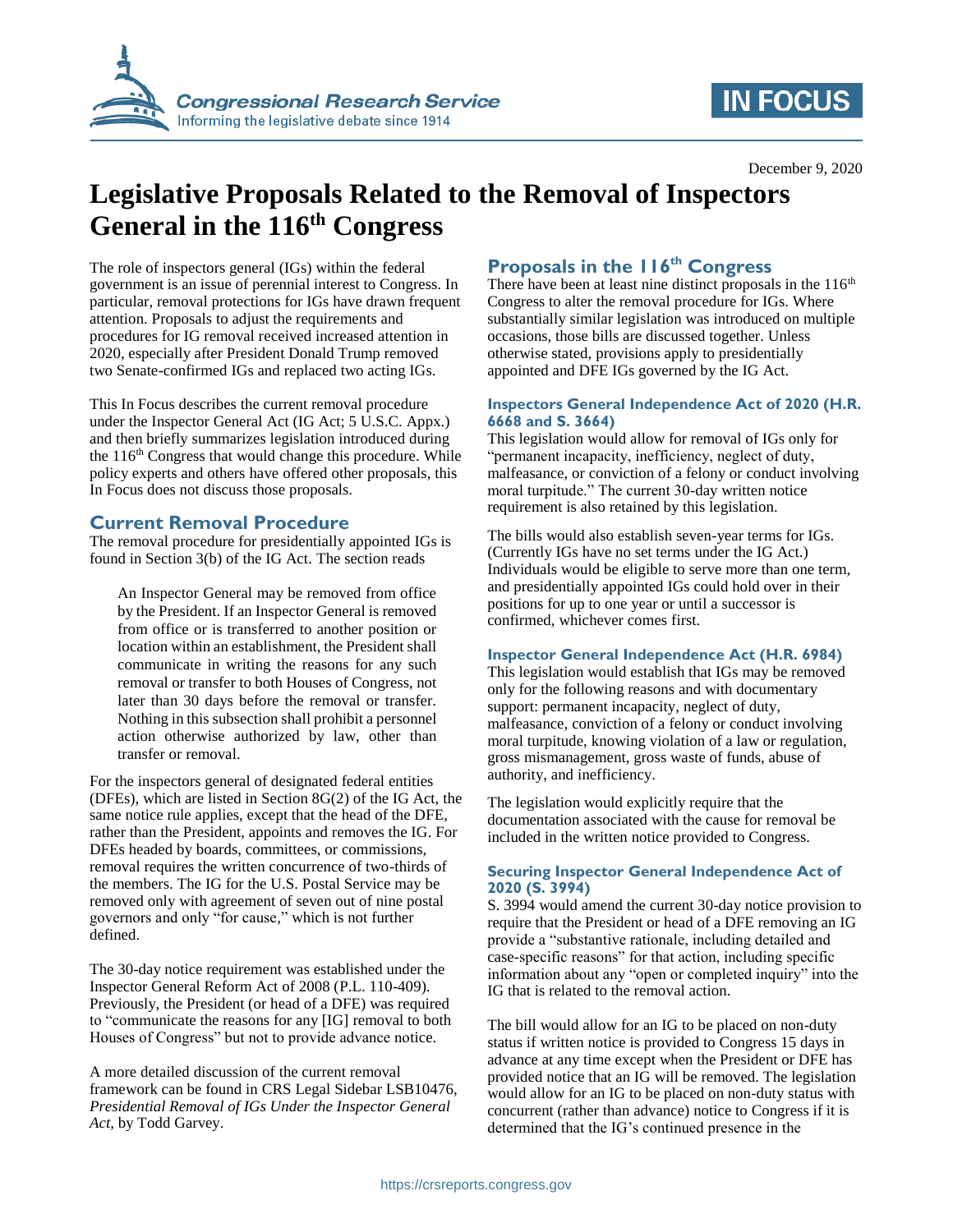

# **IN FOCUS**

# **Legislative Proposals Related to the Removal of Inspectors General in the 116th Congress**

The role of inspectors general (IGs) within the federal government is an issue of perennial interest to Congress. In particular, removal protections for IGs have drawn frequent attention. Proposals to adjust the requirements and procedures for IG removal received increased attention in 2020, especially after President Donald Trump removed two Senate-confirmed IGs and replaced two acting IGs.

This In Focus describes the current removal procedure under the Inspector General Act (IG Act; 5 U.S.C. Appx.) and then briefly summarizes legislation introduced during the  $116<sup>th</sup>$  Congress that would change this procedure. While policy experts and others have offered other proposals, this In Focus does not discuss those proposals.

### **Current Removal Procedure**

The removal procedure for presidentially appointed IGs is found in Section 3(b) of the IG Act. The section reads

An Inspector General may be removed from office by the President. If an Inspector General is removed from office or is transferred to another position or location within an establishment, the President shall communicate in writing the reasons for any such removal or transfer to both Houses of Congress, not later than 30 days before the removal or transfer. Nothing in this subsection shall prohibit a personnel action otherwise authorized by law, other than transfer or removal.

For the inspectors general of designated federal entities (DFEs), which are listed in Section 8G(2) of the IG Act, the same notice rule applies, except that the head of the DFE, rather than the President, appoints and removes the IG. For DFEs headed by boards, committees, or commissions, removal requires the written concurrence of two-thirds of the members. The IG for the U.S. Postal Service may be removed only with agreement of seven out of nine postal governors and only "for cause," which is not further defined.

The 30-day notice requirement was established under the Inspector General Reform Act of 2008 (P.L. 110-409). Previously, the President (or head of a DFE) was required to "communicate the reasons for any [IG] removal to both Houses of Congress" but not to provide advance notice.

A more detailed discussion of the current removal framework can be found in CRS Legal Sidebar LSB10476, *Presidential Removal of IGs Under the Inspector General Act*, by Todd Garvey.

### **Proposals in the 116th Congress**

There have been at least nine distinct proposals in the  $116<sup>th</sup>$ Congress to alter the removal procedure for IGs. Where substantially similar legislation was introduced on multiple occasions, those bills are discussed together. Unless otherwise stated, provisions apply to presidentially appointed and DFE IGs governed by the IG Act.

#### **Inspectors General Independence Act of 2020 (H.R. 6668 and S. 3664)**

This legislation would allow for removal of IGs only for "permanent incapacity, inefficiency, neglect of duty, malfeasance, or conviction of a felony or conduct involving moral turpitude." The current 30-day written notice requirement is also retained by this legislation.

The bills would also establish seven-year terms for IGs. (Currently IGs have no set terms under the IG Act.) Individuals would be eligible to serve more than one term, and presidentially appointed IGs could hold over in their positions for up to one year or until a successor is confirmed, whichever comes first.

#### **Inspector General Independence Act (H.R. 6984)**

This legislation would establish that IGs may be removed only for the following reasons and with documentary support: permanent incapacity, neglect of duty, malfeasance, conviction of a felony or conduct involving moral turpitude, knowing violation of a law or regulation, gross mismanagement, gross waste of funds, abuse of authority, and inefficiency.

The legislation would explicitly require that the documentation associated with the cause for removal be included in the written notice provided to Congress.

#### **Securing Inspector General Independence Act of 2020 (S. 3994)**

S. 3994 would amend the current 30-day notice provision to require that the President or head of a DFE removing an IG provide a "substantive rationale, including detailed and case-specific reasons" for that action, including specific information about any "open or completed inquiry" into the IG that is related to the removal action.

The bill would allow for an IG to be placed on non-duty status if written notice is provided to Congress 15 days in advance at any time except when the President or DFE has provided notice that an IG will be removed. The legislation would allow for an IG to be placed on non-duty status with concurrent (rather than advance) notice to Congress if it is determined that the IG's continued presence in the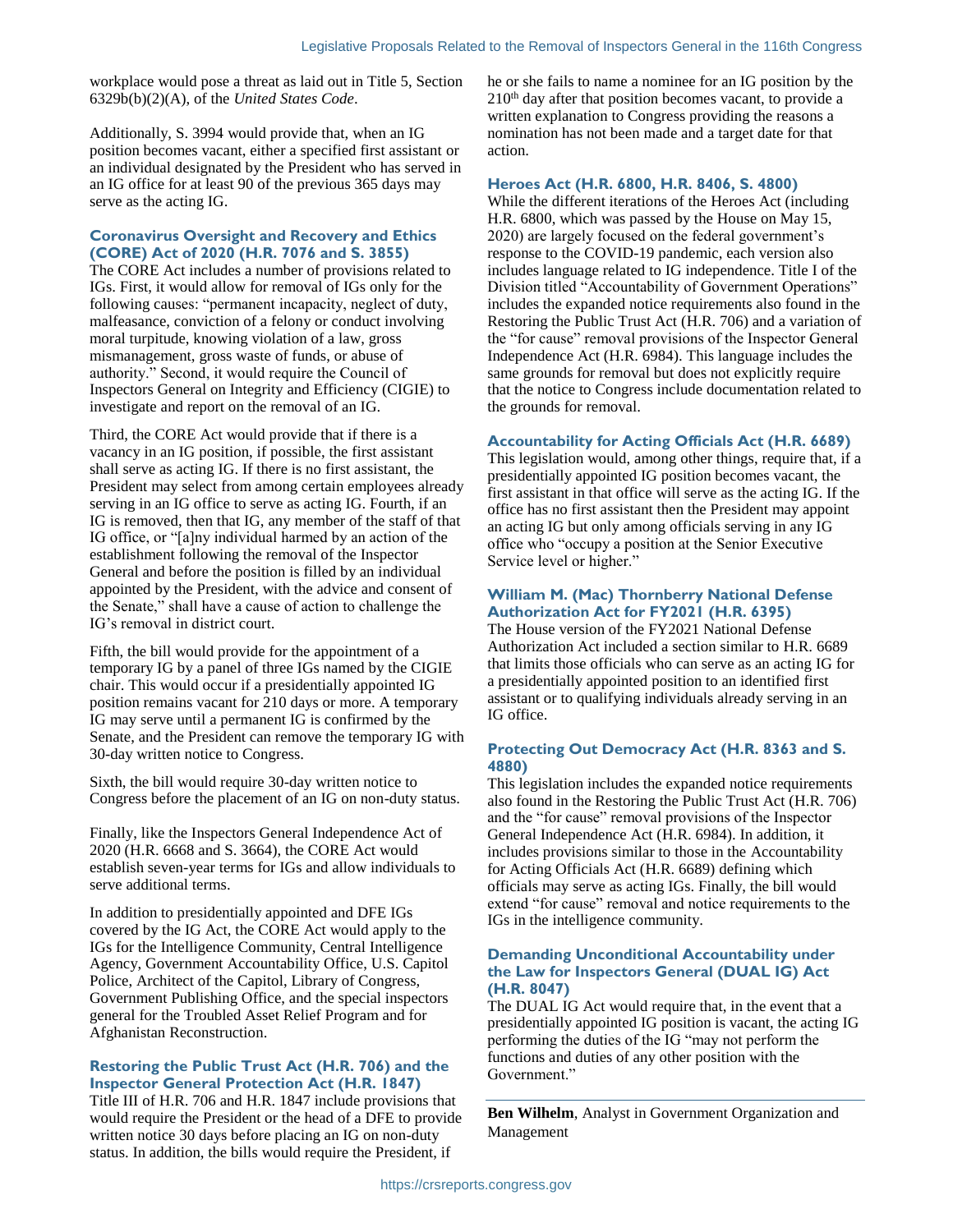workplace would pose a threat as laid out in Title 5, Section 6329b(b)(2)(A), of the *United States Code*.

Additionally, S. 3994 would provide that, when an IG position becomes vacant, either a specified first assistant or an individual designated by the President who has served in an IG office for at least 90 of the previous 365 days may serve as the acting IG.

#### **Coronavirus Oversight and Recovery and Ethics (CORE) Act of 2020 (H.R. 7076 and S. 3855)**

The CORE Act includes a number of provisions related to IGs. First, it would allow for removal of IGs only for the following causes: "permanent incapacity, neglect of duty, malfeasance, conviction of a felony or conduct involving moral turpitude, knowing violation of a law, gross mismanagement, gross waste of funds, or abuse of authority." Second, it would require the Council of Inspectors General on Integrity and Efficiency (CIGIE) to investigate and report on the removal of an IG.

Third, the CORE Act would provide that if there is a vacancy in an IG position, if possible, the first assistant shall serve as acting IG. If there is no first assistant, the President may select from among certain employees already serving in an IG office to serve as acting IG. Fourth, if an IG is removed, then that IG, any member of the staff of that IG office, or "[a]ny individual harmed by an action of the establishment following the removal of the Inspector General and before the position is filled by an individual appointed by the President, with the advice and consent of the Senate," shall have a cause of action to challenge the IG's removal in district court.

Fifth, the bill would provide for the appointment of a temporary IG by a panel of three IGs named by the CIGIE chair. This would occur if a presidentially appointed IG position remains vacant for 210 days or more. A temporary IG may serve until a permanent IG is confirmed by the Senate, and the President can remove the temporary IG with 30-day written notice to Congress.

Sixth, the bill would require 30-day written notice to Congress before the placement of an IG on non-duty status.

Finally, like the Inspectors General Independence Act of 2020 (H.R. 6668 and S. 3664), the CORE Act would establish seven-year terms for IGs and allow individuals to serve additional terms.

In addition to presidentially appointed and DFE IGs covered by the IG Act, the CORE Act would apply to the IGs for the Intelligence Community, Central Intelligence Agency, Government Accountability Office, U.S. Capitol Police, Architect of the Capitol, Library of Congress, Government Publishing Office, and the special inspectors general for the Troubled Asset Relief Program and for Afghanistan Reconstruction.

#### **Restoring the Public Trust Act (H.R. 706) and the Inspector General Protection Act (H.R. 1847)**

Title III of H.R. 706 and H.R. 1847 include provisions that would require the President or the head of a DFE to provide written notice 30 days before placing an IG on non-duty status. In addition, the bills would require the President, if

he or she fails to name a nominee for an IG position by the  $210<sup>th</sup>$  day after that position becomes vacant, to provide a written explanation to Congress providing the reasons a nomination has not been made and a target date for that action.

#### **Heroes Act (H.R. 6800, H.R. 8406, S. 4800)**

While the different iterations of the Heroes Act (including H.R. 6800, which was passed by the House on May 15, 2020) are largely focused on the federal government's response to the COVID-19 pandemic, each version also includes language related to IG independence. Title I of the Division titled "Accountability of Government Operations" includes the expanded notice requirements also found in the Restoring the Public Trust Act (H.R. 706) and a variation of the "for cause" removal provisions of the Inspector General Independence Act (H.R. 6984). This language includes the same grounds for removal but does not explicitly require that the notice to Congress include documentation related to the grounds for removal.

#### **Accountability for Acting Officials Act (H.R. 6689)**

This legislation would, among other things, require that, if a presidentially appointed IG position becomes vacant, the first assistant in that office will serve as the acting IG. If the office has no first assistant then the President may appoint an acting IG but only among officials serving in any IG office who "occupy a position at the Senior Executive Service level or higher."

#### **William M. (Mac) Thornberry National Defense Authorization Act for FY2021 (H.R. 6395)**

The House version of the FY2021 National Defense Authorization Act included a section similar to H.R. 6689 that limits those officials who can serve as an acting IG for a presidentially appointed position to an identified first assistant or to qualifying individuals already serving in an IG office.

#### **Protecting Out Democracy Act (H.R. 8363 and S. 4880)**

This legislation includes the expanded notice requirements also found in the Restoring the Public Trust Act (H.R. 706) and the "for cause" removal provisions of the Inspector General Independence Act (H.R. 6984). In addition, it includes provisions similar to those in the Accountability for Acting Officials Act (H.R. 6689) defining which officials may serve as acting IGs. Finally, the bill would extend "for cause" removal and notice requirements to the IGs in the intelligence community.

#### **Demanding Unconditional Accountability under the Law for Inspectors General (DUAL IG) Act (H.R. 8047)**

The DUAL IG Act would require that, in the event that a presidentially appointed IG position is vacant, the acting IG performing the duties of the IG "may not perform the functions and duties of any other position with the Government."

**Ben Wilhelm**, Analyst in Government Organization and Management